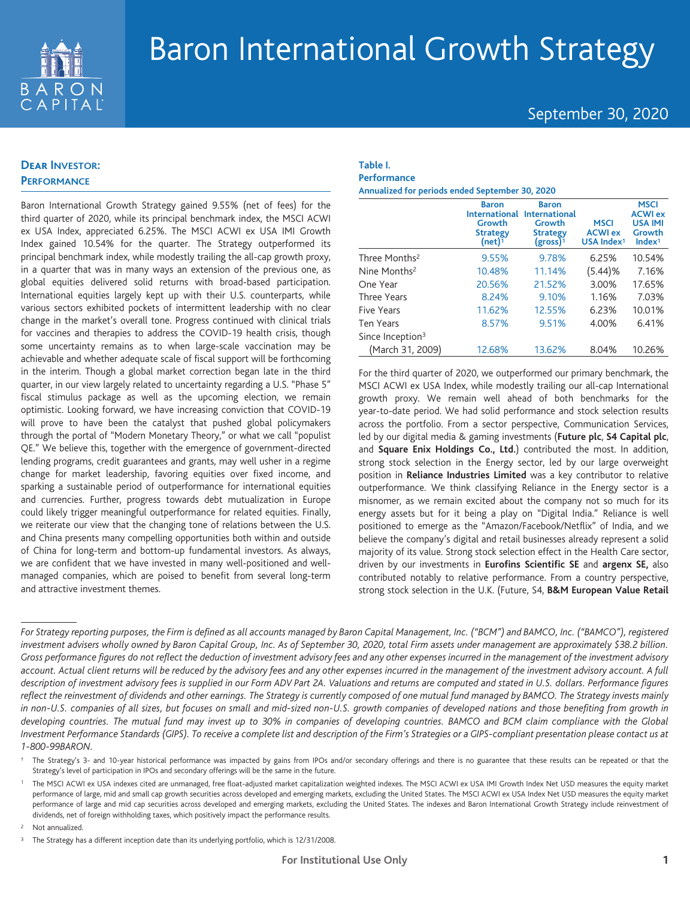

## September 30, 2020

## **Dear INVESTOR: PERFORMANCE**

Baron International Growth Strategy gained 9.55% (net of fees) for the third quarter of 2020, while its principal benchmark index, the MSCI ACWI ex USA Index, appreciated 6.25%. The MSCI ACWI ex USA IMI Growth Index gained 10.54% for the quarter. The Strategy outperformed its principal benchmark index, while modestly trailing the all-cap growth proxy, in a quarter that was in many ways an extension of the previous one, as global equities delivered solid returns with broad-based participation. International equities largely kept up with their U.S. counterparts, while various sectors exhibited pockets of intermittent leadership with no clear change in the market's overall tone. Progress continued with clinical trials for vaccines and therapies to address the COVID-19 health crisis, though some uncertainty remains as to when large-scale vaccination may be achievable and whether adequate scale of fiscal support will be forthcoming in the interim. Though a global market correction began late in the third quarter, in our view largely related to uncertainty regarding a U.S. "Phase 5" fiscal stimulus package as well as the upcoming election, we remain optimistic. Looking forward, we have increasing conviction that COVID-19 will prove to have been the catalyst that pushed global policymakers through the portal of "Modern Monetary Theory," or what we call "populist QE." We believe this, together with the emergence of government-directed lending programs, credit guarantees and grants, may well usher in a regime change for market leadership, favoring equities over fixed income, and sparking a sustainable period of outperformance for international equities and currencies. Further, progress towards debt mutualization in Europe could likely trigger meaningful outperformance for related equities. Finally, we reiterate our view that the changing tone of relations between the U.S. and China presents many compelling opportunities both within and outside of China for long-term and bottom-up fundamental investors. As always, we are confident that we have invested in many well-positioned and wellmanaged companies, which are poised to benefit from several long-term and attractive investment themes.

### **Table I. Performance**

**Annualized for periods ended September 30, 2020**

|                              | <b>Baron</b><br><b>International</b><br>Growth<br><b>Strategy</b><br>(net) $1$ | <b>Baron</b><br><b>International</b><br>Growth<br><b>Strategy</b><br>(gross) <sup>1</sup> | <b>MSCI</b><br><b>ACWI ex</b><br>USA Index <sup>1</sup> | <b>MSCI</b><br><b>ACWI ex</b><br><b>USA IMI</b><br>Growth<br>Index <sup>1</sup> |
|------------------------------|--------------------------------------------------------------------------------|-------------------------------------------------------------------------------------------|---------------------------------------------------------|---------------------------------------------------------------------------------|
| Three Months <sup>2</sup>    | 9.55%                                                                          | 9.78%                                                                                     | 6.25%                                                   | 10.54%                                                                          |
| Nine Months <sup>2</sup>     | 10.48%                                                                         | 11.14%                                                                                    | (5.44)%                                                 | 7.16%                                                                           |
| One Year                     | 20.56%                                                                         | 21.52%                                                                                    | 3.00%                                                   | 17.65%                                                                          |
| Three Years                  | 8.24%                                                                          | 9.10%                                                                                     | 1.16%                                                   | 7.03%                                                                           |
| <b>Five Years</b>            | 11.62%                                                                         | 12.55%                                                                                    | 6.23%                                                   | 10.01%                                                                          |
| <b>Ten Years</b>             | 8.57%                                                                          | 9.51%                                                                                     | 4.00%                                                   | 6.41%                                                                           |
| Since Inception <sup>3</sup> |                                                                                |                                                                                           |                                                         |                                                                                 |
| (March 31, 2009)             | 12.68%                                                                         | 13.62%                                                                                    | 8.04%                                                   | 10.26%                                                                          |

For the third quarter of 2020, we outperformed our primary benchmark, the MSCI ACWI ex USA Index, while modestly trailing our all-cap International growth proxy. We remain well ahead of both benchmarks for the year-to-date period. We had solid performance and stock selection results across the portfolio. From a sector perspective, Communication Services, led by our digital media & gaming investments (**Future plc**, **S4 Capital plc**, and **Square Enix Holdings Co., Ltd.**) contributed the most. In addition, strong stock selection in the Energy sector, led by our large overweight position in **Reliance Industries Limited** was a key contributor to relative outperformance. We think classifying Reliance in the Energy sector is a misnomer, as we remain excited about the company not so much for its energy assets but for it being a play on "Digital India." Reliance is well positioned to emerge as the "Amazon/Facebook/Netflix" of India, and we believe the company's digital and retail businesses already represent a solid majority of its value. Strong stock selection effect in the Health Care sector, driven by our investments in **Eurofins Scientific SE** and **argenx SE,** also contributed notably to relative performance. From a country perspective, strong stock selection in the U.K. (Future, S4, **B&M European Value Retail**

Not annualized.

*For Strategy reporting purposes, the Firm is defined as all accounts managed by Baron Capital Management, Inc. ("BCM") and BAMCO, Inc. ("BAMCO"), registered investment advisers wholly owned by Baron Capital Group, Inc. As of September 30, 2020, total Firm assets under management are approximately \$38.2 billion. Gross performance figures do not reflect the deduction of investment advisory fees and any other expenses incurred in the management of the investment advisory account. Actual client returns will be reduced by the advisory fees and any other expenses incurred in the management of the investment advisory account. A full description of investment advisory fees is supplied in our Form ADV Part 2A. Valuations and returns are computed and stated in U.S. dollars. Performance figures reflect the reinvestment of dividends and other earnings. The Strategy is currently composed of one mutual fund managed by BAMCO. The Strategy invests mainly in non-U.S. companies of all sizes, but focuses on small and mid-sized non-U.S. growth companies of developed nations and those benefiting from growth in developing countries. The mutual fund may invest up to 30% in companies of developing countries. BAMCO and BCM claim compliance with the Global Investment Performance Standards (GIPS). To receive a complete list and description of the Firm's Strategies or a GIPS-compliant presentation please contact us at 1-800-99BARON.*

<sup>†</sup> The Strategy's 3- and 10-year historical performance was impacted by gains from IPOs and/or secondary offerings and there is no guarantee that these results can be repeated or that the Strategy's level of participation in IPOs and secondary offerings will be the same in the future.

<sup>1</sup> The MSCI ACWI ex USA indexes cited are unmanaged, free float-adjusted market capitalization weighted indexes. The MSCI ACWI ex USA IMI Growth Index Net USD measures the equity market performance of large, mid and small cap growth securities across developed and emerging markets, excluding the United States. The MSCI ACWI ex USA Index Net USD measures the equity market performance of large and mid cap securities across developed and emerging markets, excluding the United States. The indexes and Baron International Growth Strategy include reinvestment of dividends, net of foreign withholding taxes, which positively impact the performance results.

<sup>&</sup>lt;sup>3</sup> The Strategy has a different inception date than its underlying portfolio, which is 12/31/2008.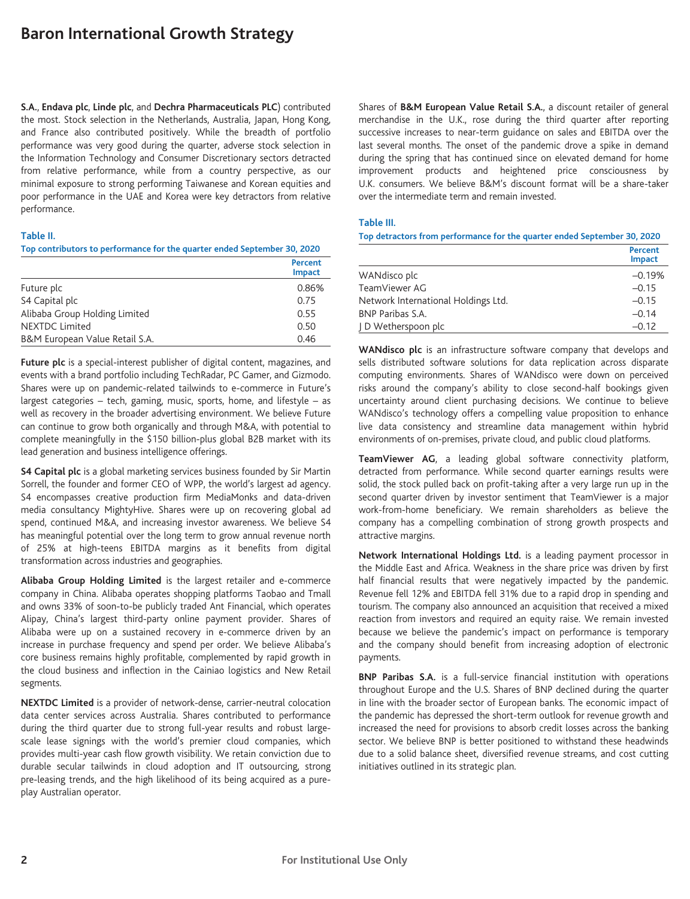**S.A.**, **Endava plc**, **Linde plc**, and **Dechra Pharmaceuticals PLC**) contributed the most. Stock selection in the Netherlands, Australia, Japan, Hong Kong, and France also contributed positively. While the breadth of portfolio performance was very good during the quarter, adverse stock selection in the Information Technology and Consumer Discretionary sectors detracted from relative performance, while from a country perspective, as our minimal exposure to strong performing Taiwanese and Korean equities and poor performance in the UAE and Korea were key detractors from relative performance.

#### **Table II.**

#### **Top contributors to performance for the quarter ended September 30, 2020**

|                                | Percent<br><b>Impact</b> |
|--------------------------------|--------------------------|
| Future plc                     | 0.86%                    |
| S4 Capital plc                 | 0.75                     |
| Alibaba Group Holding Limited  | 0.55                     |
| <b>NEXTDC Limited</b>          | 0.50                     |
| B&M European Value Retail S.A. | 0.46                     |

**Future plc** is a special-interest publisher of digital content, magazines, and events with a brand portfolio including TechRadar, PC Gamer, and Gizmodo. Shares were up on pandemic-related tailwinds to e-commerce in Future's largest categories – tech, gaming, music, sports, home, and lifestyle – as well as recovery in the broader advertising environment. We believe Future can continue to grow both organically and through M&A, with potential to complete meaningfully in the \$150 billion-plus global B2B market with its lead generation and business intelligence offerings.

**S4 Capital plc** is a global marketing services business founded by Sir Martin Sorrell, the founder and former CEO of WPP, the world's largest ad agency. S4 encompasses creative production firm MediaMonks and data-driven media consultancy MightyHive. Shares were up on recovering global ad spend, continued M&A, and increasing investor awareness. We believe S4 has meaningful potential over the long term to grow annual revenue north of 25% at high-teens EBITDA margins as it benefits from digital transformation across industries and geographies.

**Alibaba Group Holding Limited** is the largest retailer and e-commerce company in China. Alibaba operates shopping platforms Taobao and Tmall and owns 33% of soon-to-be publicly traded Ant Financial, which operates Alipay, China's largest third-party online payment provider. Shares of Alibaba were up on a sustained recovery in e-commerce driven by an increase in purchase frequency and spend per order. We believe Alibaba's core business remains highly profitable, complemented by rapid growth in the cloud business and inflection in the Cainiao logistics and New Retail segments.

**NEXTDC Limited** is a provider of network-dense, carrier-neutral colocation data center services across Australia. Shares contributed to performance during the third quarter due to strong full-year results and robust largescale lease signings with the world's premier cloud companies, which provides multi-year cash flow growth visibility. We retain conviction due to durable secular tailwinds in cloud adoption and IT outsourcing, strong pre-leasing trends, and the high likelihood of its being acquired as a pureplay Australian operator.

Shares of **B&M European Value Retail S.A.**, a discount retailer of general merchandise in the U.K., rose during the third quarter after reporting successive increases to near-term guidance on sales and EBITDA over the last several months. The onset of the pandemic drove a spike in demand during the spring that has continued since on elevated demand for home improvement products and heightened price consciousness by U.K. consumers. We believe B&M's discount format will be a share-taker over the intermediate term and remain invested.

#### **Table III.**

**Top detractors from performance for the quarter ended September 30, 2020**

|                                     | <b>Percent</b><br>Impact |
|-------------------------------------|--------------------------|
| WANdisco plc                        | $-0.19%$                 |
| TeamViewer AG                       | $-0.15$                  |
| Network International Holdings Ltd. | $-0.15$                  |
| BNP Paribas S.A.                    | $-0.14$                  |
| J D Wetherspoon plc                 | $-0.12$                  |

**WANdisco plc** is an infrastructure software company that develops and sells distributed software solutions for data replication across disparate computing environments. Shares of WANdisco were down on perceived risks around the company's ability to close second-half bookings given uncertainty around client purchasing decisions. We continue to believe WANdisco's technology offers a compelling value proposition to enhance live data consistency and streamline data management within hybrid environments of on-premises, private cloud, and public cloud platforms.

**TeamViewer AG**, a leading global software connectivity platform, detracted from performance. While second quarter earnings results were solid, the stock pulled back on profit-taking after a very large run up in the second quarter driven by investor sentiment that TeamViewer is a major work-from-home beneficiary. We remain shareholders as believe the company has a compelling combination of strong growth prospects and attractive margins.

**Network International Holdings Ltd.** is a leading payment processor in the Middle East and Africa. Weakness in the share price was driven by first half financial results that were negatively impacted by the pandemic. Revenue fell 12% and EBITDA fell 31% due to a rapid drop in spending and tourism. The company also announced an acquisition that received a mixed reaction from investors and required an equity raise. We remain invested because we believe the pandemic's impact on performance is temporary and the company should benefit from increasing adoption of electronic payments.

**BNP Paribas S.A.** is a full-service financial institution with operations throughout Europe and the U.S. Shares of BNP declined during the quarter in line with the broader sector of European banks. The economic impact of the pandemic has depressed the short-term outlook for revenue growth and increased the need for provisions to absorb credit losses across the banking sector. We believe BNP is better positioned to withstand these headwinds due to a solid balance sheet, diversified revenue streams, and cost cutting initiatives outlined in its strategic plan.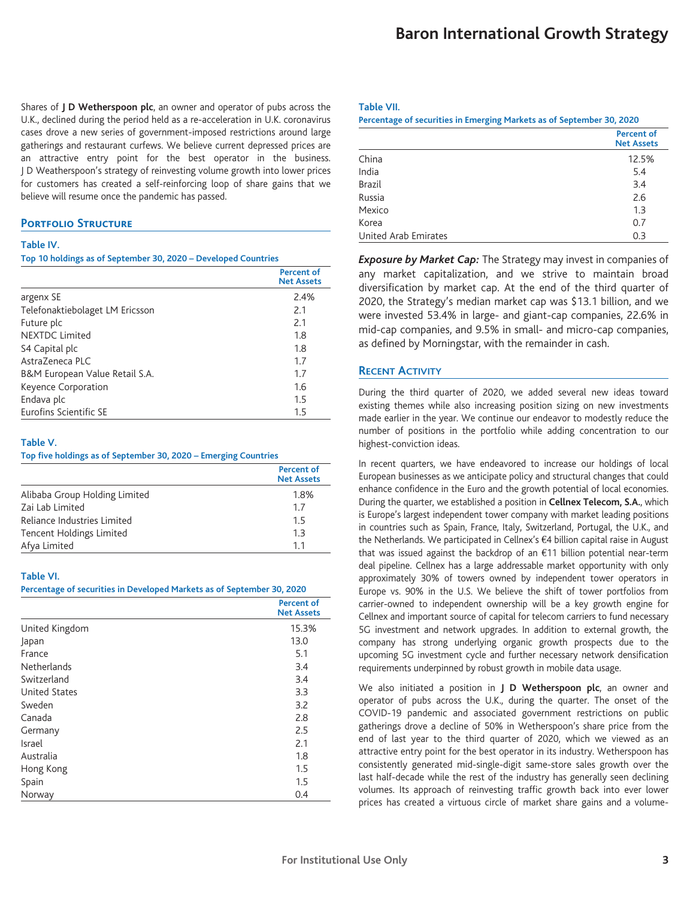Shares of **J D Wetherspoon plc**, an owner and operator of pubs across the U.K., declined during the period held as a re-acceleration in U.K. coronavirus cases drove a new series of government-imposed restrictions around large gatherings and restaurant curfews. We believe current depressed prices are an attractive entry point for the best operator in the business. J D Weatherspoon's strategy of reinvesting volume growth into lower prices for customers has created a self-reinforcing loop of share gains that we believe will resume once the pandemic has passed.

#### **PORTFOLIO STRUCTURE**

#### **Table IV.**

#### **Top 10 holdings as of September 30, 2020 – Developed Countries**

|                                 | <b>Percent of</b><br><b>Net Assets</b> |
|---------------------------------|----------------------------------------|
| argenx SE                       | 2.4%                                   |
| Telefonaktiebolaget LM Ericsson | 2.1                                    |
| Future plc                      | 2.1                                    |
| NFXTDC Limited                  | 1.8                                    |
| S4 Capital plc                  | 1.8                                    |
| Astra7eneca PLC                 | 1.7                                    |
| B&M European Value Retail S.A.  | 1.7                                    |
| Keyence Corporation             | 1.6                                    |
| Endava plc                      | 1.5                                    |
| Eurofins Scientific SE          | 1.5                                    |

#### **Table V.**

**Top five holdings as of September 30, 2020 – Emerging Countries**

|                               | <b>Percent of</b><br><b>Net Assets</b> |
|-------------------------------|----------------------------------------|
| Alibaba Group Holding Limited | 1.8%                                   |
| Zai Lab Limited               | 17                                     |
| Reliance Industries Limited   | 15                                     |
| Tencent Holdings Limited      | 1.3                                    |
| Afya Limited                  | 11                                     |

#### **Table VI.**

**Percentage of securities in Developed Markets as of September 30, 2020**

|                      | <b>Percent of</b><br><b>Net Assets</b> |
|----------------------|----------------------------------------|
| United Kingdom       | 15.3%                                  |
| Japan                | 13.0                                   |
| France               | 5.1                                    |
| <b>Netherlands</b>   | 3.4                                    |
| Switzerland          | 3.4                                    |
| <b>United States</b> | 3.3                                    |
| Sweden               | 3.2                                    |
| Canada               | 2.8                                    |
| Germany              | 2.5                                    |
| Israel               | 2.1                                    |
| Australia            | 1.8                                    |
| Hong Kong            | 1.5                                    |
| Spain                | 1.5                                    |
| Norway               | 0.4                                    |

#### **Table VII.**

|  |  | Percentage of securities in Emerging Markets as of September 30, 2020 |  |
|--|--|-----------------------------------------------------------------------|--|

|                      | <b>Percent of</b><br><b>Net Assets</b> |
|----------------------|----------------------------------------|
| China                | 12.5%                                  |
| India                | 5.4                                    |
| <b>Brazil</b>        | 3.4                                    |
| Russia               | 2.6                                    |
| Mexico               | 1.3                                    |
| Korea                | 0.7                                    |
| United Arab Emirates | 0.3                                    |

*Exposure by Market Cap:* The Strategy may invest in companies of any market capitalization, and we strive to maintain broad diversification by market cap. At the end of the third quarter of 2020, the Strategy's median market cap was \$13.1 billion, and we were invested 53.4% in large- and giant-cap companies, 22.6% in mid-cap companies, and 9.5% in small- and micro-cap companies, as defined by Morningstar, with the remainder in cash.

## **RECENT ACTIVITY**

During the third quarter of 2020, we added several new ideas toward existing themes while also increasing position sizing on new investments made earlier in the year. We continue our endeavor to modestly reduce the number of positions in the portfolio while adding concentration to our highest-conviction ideas.

In recent quarters, we have endeavored to increase our holdings of local European businesses as we anticipate policy and structural changes that could enhance confidence in the Euro and the growth potential of local economies. During the quarter, we established a position in **Cellnex Telecom, S.A.**, which is Europe's largest independent tower company with market leading positions in countries such as Spain, France, Italy, Switzerland, Portugal, the U.K., and the Netherlands. We participated in Cellnex's €4 billion capital raise in August that was issued against the backdrop of an €11 billion potential near-term deal pipeline. Cellnex has a large addressable market opportunity with only approximately 30% of towers owned by independent tower operators in Europe vs. 90% in the U.S. We believe the shift of tower portfolios from carrier-owned to independent ownership will be a key growth engine for Cellnex and important source of capital for telecom carriers to fund necessary 5G investment and network upgrades. In addition to external growth, the company has strong underlying organic growth prospects due to the upcoming 5G investment cycle and further necessary network densification requirements underpinned by robust growth in mobile data usage.

We also initiated a position in **J D Wetherspoon plc**, an owner and operator of pubs across the U.K., during the quarter. The onset of the COVID-19 pandemic and associated government restrictions on public gatherings drove a decline of 50% in Wetherspoon's share price from the end of last year to the third quarter of 2020, which we viewed as an attractive entry point for the best operator in its industry. Wetherspoon has consistently generated mid-single-digit same-store sales growth over the last half-decade while the rest of the industry has generally seen declining volumes. Its approach of reinvesting traffic growth back into ever lower prices has created a virtuous circle of market share gains and a volume-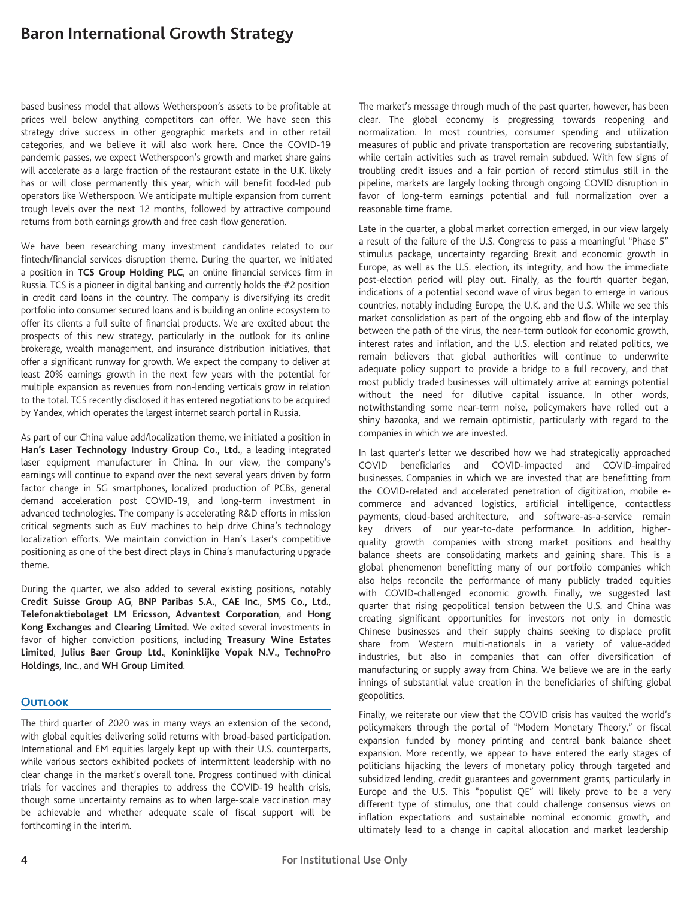based business model that allows Wetherspoon's assets to be profitable at prices well below anything competitors can offer. We have seen this strategy drive success in other geographic markets and in other retail categories, and we believe it will also work here. Once the COVID-19 pandemic passes, we expect Wetherspoon's growth and market share gains will accelerate as a large fraction of the restaurant estate in the U.K. likely has or will close permanently this year, which will benefit food-led pub operators like Wetherspoon. We anticipate multiple expansion from current trough levels over the next 12 months, followed by attractive compound returns from both earnings growth and free cash flow generation.

We have been researching many investment candidates related to our fintech/financial services disruption theme. During the quarter, we initiated a position in **TCS Group Holding PLC**, an online financial services firm in Russia. TCS is a pioneer in digital banking and currently holds the #2 position in credit card loans in the country. The company is diversifying its credit portfolio into consumer secured loans and is building an online ecosystem to offer its clients a full suite of financial products. We are excited about the prospects of this new strategy, particularly in the outlook for its online brokerage, wealth management, and insurance distribution initiatives, that offer a significant runway for growth. We expect the company to deliver at least 20% earnings growth in the next few years with the potential for multiple expansion as revenues from non-lending verticals grow in relation to the total. TCS recently disclosed it has entered negotiations to be acquired by Yandex, which operates the largest internet search portal in Russia.

As part of our China value add/localization theme, we initiated a position in **Han's Laser Technology Industry Group Co., Ltd.**, a leading integrated laser equipment manufacturer in China. In our view, the company's earnings will continue to expand over the next several years driven by form factor change in 5G smartphones, localized production of PCBs, general demand acceleration post COVID-19, and long-term investment in advanced technologies. The company is accelerating R&D efforts in mission critical segments such as EuV machines to help drive China's technology localization efforts. We maintain conviction in Han's Laser's competitive positioning as one of the best direct plays in China's manufacturing upgrade theme.

During the quarter, we also added to several existing positions, notably **Credit Suisse Group AG**, **BNP Paribas S.A.**, **CAE Inc.**, **SMS Co., Ltd.**, **Telefonaktiebolaget LM Ericsson**, **Advantest Corporation**, and **Hong Kong Exchanges and Clearing Limited**. We exited several investments in favor of higher conviction positions, including **Treasury Wine Estates Limited**, **Julius Baer Group Ltd.**, **Koninklijke Vopak N.V.**, **TechnoPro Holdings, Inc.**, and **WH Group Limited**.

## **Outlook**

The third quarter of 2020 was in many ways an extension of the second, with global equities delivering solid returns with broad-based participation. International and EM equities largely kept up with their U.S. counterparts, while various sectors exhibited pockets of intermittent leadership with no clear change in the market's overall tone. Progress continued with clinical trials for vaccines and therapies to address the COVID-19 health crisis, though some uncertainty remains as to when large-scale vaccination may be achievable and whether adequate scale of fiscal support will be forthcoming in the interim.

The market's message through much of the past quarter, however, has been clear. The global economy is progressing towards reopening and normalization. In most countries, consumer spending and utilization measures of public and private transportation are recovering substantially, while certain activities such as travel remain subdued. With few signs of troubling credit issues and a fair portion of record stimulus still in the pipeline, markets are largely looking through ongoing COVID disruption in favor of long-term earnings potential and full normalization over a reasonable time frame.

Late in the quarter, a global market correction emerged, in our view largely a result of the failure of the U.S. Congress to pass a meaningful "Phase 5" stimulus package, uncertainty regarding Brexit and economic growth in Europe, as well as the U.S. election, its integrity, and how the immediate post-election period will play out. Finally, as the fourth quarter began, indications of a potential second wave of virus began to emerge in various countries, notably including Europe, the U.K. and the U.S. While we see this market consolidation as part of the ongoing ebb and flow of the interplay between the path of the virus, the near-term outlook for economic growth, interest rates and inflation, and the U.S. election and related politics, we remain believers that global authorities will continue to underwrite adequate policy support to provide a bridge to a full recovery, and that most publicly traded businesses will ultimately arrive at earnings potential without the need for dilutive capital issuance. In other words, notwithstanding some near-term noise, policymakers have rolled out a shiny bazooka, and we remain optimistic, particularly with regard to the companies in which we are invested.

In last quarter's letter we described how we had strategically approached COVID beneficiaries and COVID-impacted and COVID-impaired businesses. Companies in which we are invested that are benefitting from the COVID-related and accelerated penetration of digitization, mobile ecommerce and advanced logistics, artificial intelligence, contactless payments, cloud-based architecture, and software-as-a-service remain key drivers of our year-to-date performance. In addition, higherquality growth companies with strong market positions and healthy balance sheets are consolidating markets and gaining share. This is a global phenomenon benefitting many of our portfolio companies which also helps reconcile the performance of many publicly traded equities with COVID-challenged economic growth. Finally, we suggested last quarter that rising geopolitical tension between the U.S. and China was creating significant opportunities for investors not only in domestic Chinese businesses and their supply chains seeking to displace profit share from Western multi-nationals in a variety of value-added industries, but also in companies that can offer diversification of manufacturing or supply away from China. We believe we are in the early innings of substantial value creation in the beneficiaries of shifting global geopolitics.

Finally, we reiterate our view that the COVID crisis has vaulted the world's policymakers through the portal of "Modern Monetary Theory," or fiscal expansion funded by money printing and central bank balance sheet expansion. More recently, we appear to have entered the early stages of politicians hijacking the levers of monetary policy through targeted and subsidized lending, credit guarantees and government grants, particularly in Europe and the U.S. This "populist QE" will likely prove to be a very different type of stimulus, one that could challenge consensus views on inflation expectations and sustainable nominal economic growth, and ultimately lead to a change in capital allocation and market leadership